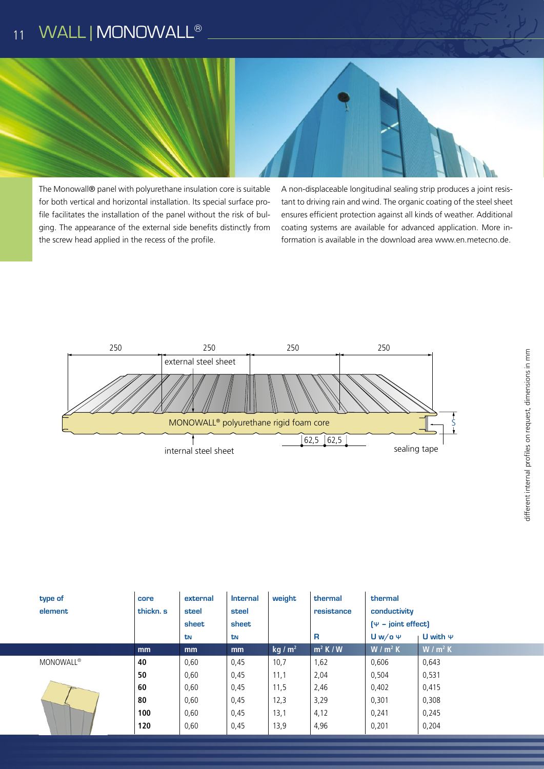## WALL | MONOWALL® 11



The Monowall® panel with polyurethane insulation core is suitable for both vertical and horizontal installation. lts special surface profile facilitates the installation of the panel without the risk of bulging. The appearance of the external side benefits distinctly from the screw head applied in the recess of the profile.

A non-displaceable longitudinal sealing strip produces a joint resistant to driving rain and wind. The organic coating of the steel sheet ensures efficient protection against all kinds of weather. Additional coating systems are available for advanced application. More information is available in the download area www.en.metecno.de.



| type of<br>element | core<br>thickn. s | external<br>steel | <b>Internal</b><br>steel | weight    | thermal<br>resistance | thermal<br>conductivity                                           |           |
|--------------------|-------------------|-------------------|--------------------------|-----------|-----------------------|-------------------------------------------------------------------|-----------|
|                    |                   | sheet<br>tΝ       | sheet<br>tN              |           | R                     | $[\Psi - \text{joint effect}]$<br>$Uw$ /o $\Psi$<br>U with $\Psi$ |           |
|                    | mm                | mm                | mm                       | kg / $m2$ | $m^2$ K / W           | $W/m^2 K$                                                         | $W/m^2 K$ |
| <b>MONOWALL®</b>   | 40                | 0,60              | 0,45                     | 10,7      | 1,62                  | 0,606                                                             | 0,643     |
|                    | 50                | 0,60              | 0,45                     | 11,1      | 2,04                  | 0,504                                                             | 0,531     |
|                    | 60                | 0,60              | 0,45                     | 11,5      | 2,46                  | 0,402                                                             | 0,415     |
|                    | 80                | 0,60              | 0,45                     | 12,3      | 3,29                  | 0,301                                                             | 0,308     |
|                    | 100               | 0,60              | 0,45                     | 13,1      | 4,12                  | 0,241                                                             | 0,245     |
|                    | 120               | 0,60              | 0,45                     | 13,9      | 4,96                  | 0,201                                                             | 0,204     |